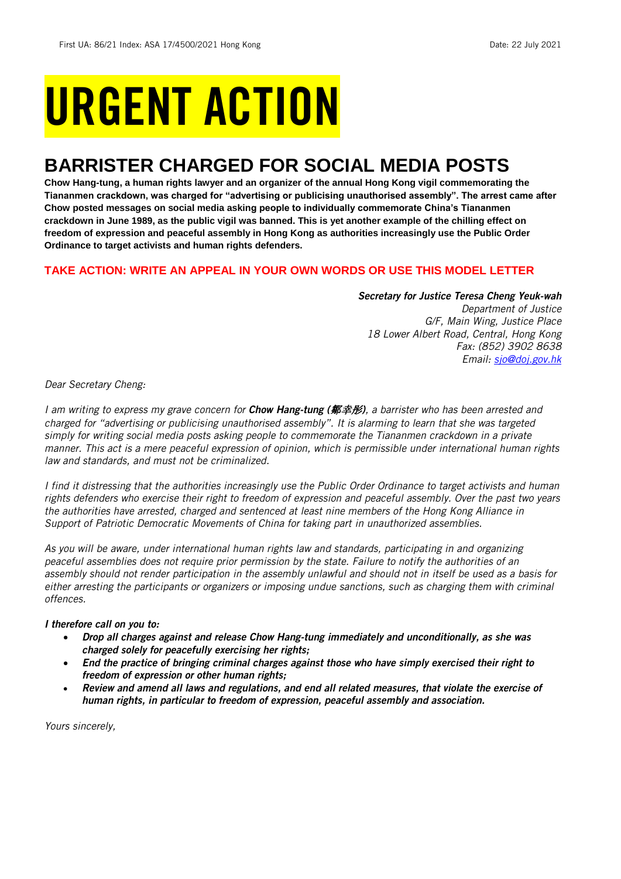# URGENT ACTION

# **BARRISTER CHARGED FOR SOCIAL MEDIA POSTS**

**Chow Hang-tung, a human rights lawyer and an organizer of the annual Hong Kong vigil commemorating the Tiananmen crackdown, was charged for "advertising or publicising unauthorised assembly". The arrest came after Chow posted messages on social media asking people to individually commemorate China's Tiananmen crackdown in June 1989, as the public vigil was banned. This is yet another example of the chilling effect on freedom of expression and peaceful assembly in Hong Kong as authorities increasingly use the Public Order Ordinance to target activists and human rights defenders.**

#### **TAKE ACTION: WRITE AN APPEAL IN YOUR OWN WORDS OR USE THIS MODEL LETTER**

## *Secretary for Justice Teresa Cheng Yeuk-wah*

*Department of Justice G/F, Main Wing, Justice Place 18 Lower Albert Road, Central, Hong Kong Fax: (852) 3902 8638 Email: [sjo@doj.gov.hk](mailto:sjo@doj.gov.hk)*

*Dear Secretary Cheng:*

*I am writing to express my grave concern for Chow Hang-tung (*鄒幸彤*), a barrister who has been arrested and charged for "advertising or publicising unauthorised assembly". It is alarming to learn that she was targeted simply for writing social media posts asking people to commemorate the Tiananmen crackdown in a private manner. This act is a mere peaceful expression of opinion, which is permissible under international human rights law and standards, and must not be criminalized.* 

*I find it distressing that the authorities increasingly use the Public Order Ordinance to target activists and human rights defenders who exercise their right to freedom of expression and peaceful assembly. Over the past two years the authorities have arrested, charged and sentenced at least nine members of the Hong Kong Alliance in Support of Patriotic Democratic Movements of China for taking part in unauthorized assemblies.*

*As you will be aware, under international human rights law and standards, participating in and organizing peaceful assemblies does not require prior permission by the state. Failure to notify the authorities of an assembly should not render participation in the assembly unlawful and should not in itself be used as a basis for either arresting the participants or organizers or imposing undue sanctions, such as charging them with criminal offences.*

#### *I therefore call on you to:*

- *Drop all charges against and release Chow Hang-tung immediately and unconditionally, as she was charged solely for peacefully exercising her rights;*
- *End the practice of bringing criminal charges against those who have simply exercised their right to freedom of expression or other human rights;*
- *Review and amend all laws and regulations, and end all related measures, that violate the exercise of human rights, in particular to freedom of expression, peaceful assembly and association.*

*Yours sincerely,*